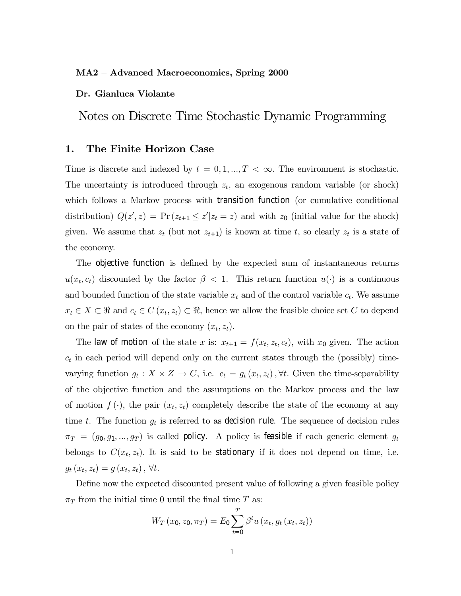### MA2 — Advanced Macroeconomics, Spring 2000

### Dr. Gianluca Violante

Notes on Discrete Time Stochastic Dynamic Programming

## 1. The Finite Horizon Case

Time is discrete and indexed by  $t = 0, 1, ..., T < \infty$ . The environment is stochastic. The uncertainty is introduced through  $z_t$ , an exogenous random variable (or shock) which follows a Markov process with transition function (or cumulative conditional distribution)  $Q(z', z) = Pr(z_{t+1} \leq z'|z_t = z)$  and with  $z_0$  (initial value for the shock) given. We assume that  $z_t$  (but not  $z_{t+1}$ ) is known at time t, so clearly  $z_t$  is a state of the economy.

The objective function is defined by the expected sum of instantaneous returns  $u(x_t, c_t)$  discounted by the factor  $\beta < 1$ . This return function  $u(\cdot)$  is a continuous and bounded function of the state variable  $x_t$  and of the control variable  $c_t$ . We assume  $x_t \in X \subset \Re$  and  $c_t \in C(x_t, z_t) \subset \Re$ , hence we allow the feasible choice set C to depend on the pair of states of the economy  $(x_t, z_t)$ .

The law of motion of the state x is:  $x_{t+1} = f(x_t, z_t, c_t)$ , with  $x_0$  given. The action  $c_t$  in each period will depend only on the current states through the (possibly) timevarying function  $g_t : X \times Z \to C$ , i.e.  $c_t = g_t(x_t, z_t)$ ,  $\forall t$ . Given the time-separability of the objective function and the assumptions on the Markov process and the law of motion  $f(\cdot)$ , the pair  $(x_t, z_t)$  completely describe the state of the economy at any time t. The function  $g_t$  is referred to as decision rule. The sequence of decision rules  $\pi_T = (g_0, g_1, ..., g_T)$  is called policy. A policy is feasible if each generic element  $g_t$ belongs to  $C(x_t, z_t)$ . It is said to be stationary if it does not depend on time, i.e.  $g_{t}(x_{t}, z_{t}) = g(x_{t}, z_{t}), \forall t.$ 

Define now the expected discounted present value of following a given feasible policy  $\pi_T$  from the initial time 0 until the final time T as:

$$
W_T(x_0, z_0, \pi_T) = E_0 \sum_{t=0}^{T} \beta^t u(x_t, g_t(x_t, z_t))
$$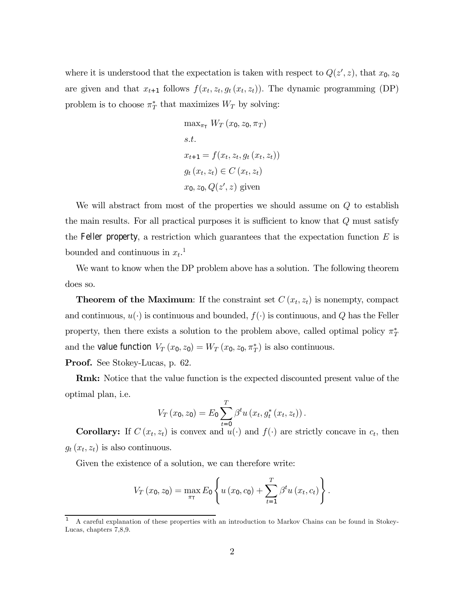where it is understood that the expectation is taken with respect to  $Q(z', z)$ , that  $x_0, z_0$ are given and that  $x_{t+1}$  follows  $f(x_t, z_t, g_t(x_t, z_t))$ . The dynamic programming (DP) problem is to choose  $\pi^*$  that maximizes  $W_T$  by solving:

$$
\max_{\pi_{\top}} W_T(x_0, z_0, \pi_T)
$$
  
s.t.  

$$
x_{t+1} = f(x_t, z_t, g_t(x_t, z_t))
$$
  

$$
g_t(x_t, z_t) \in C(x_t, z_t)
$$
  

$$
x_0, z_0, Q(z', z) \text{ given}
$$

We will abstract from most of the properties we should assume on  $Q$  to establish the main results. For all practical purposes it is sufficient to know that  $Q$  must satisfy the Feller property, a restriction which guarantees that the expectation function  $E$  is bounded and continuous in  $x_t$ <sup>1</sup>.

We want to know when the DP problem above has a solution. The following theorem does so.

**Theorem of the Maximum:** If the constraint set  $C(x_t, z_t)$  is nonempty, compact and continuous,  $u(\cdot)$  is continuous and bounded,  $f(\cdot)$  is continuous, and Q has the Feller property, then there exists a solution to the problem above, called optimal policy  $\pi^*_T$ and the value function  $V_T(x_0, z_0) = W_T(x_0, z_0, \pi_T^*)$  is also continuous.

Proof. See Stokey-Lucas, p. 62.

Rmk: Notice that the value function is the expected discounted present value of the optimal plan, i.e.

$$
V_T(x_0, z_0) = E_0 \sum_{t=0}^{T} \beta^t u(x_t, g_t^*(x_t, z_t)).
$$

**Corollary:** If  $C(x_t, z_t)$  is convex and  $u(\cdot)$  and  $f(\cdot)$  are strictly concave in  $c_t$ , then  $g_t(x_t, z_t)$  is also continuous.

Given the existence of a solution, we can therefore write:

$$
V_T(x_0, z_0) = \max_{\pi_T} E_0 \left\{ u(x_0, c_0) + \sum_{t=1}^T \beta^t u(x_t, c_t) \right\}.
$$

<sup>1</sup> A careful explanation of these properties with an introduction to Markov Chains can be found in Stokey-Lucas, chapters 7,8,9.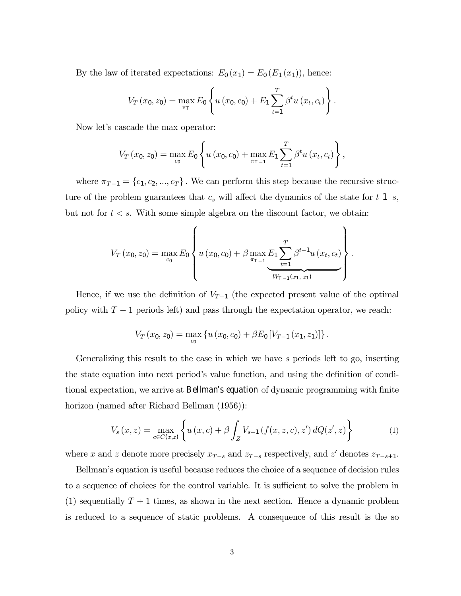By the law of iterated expectations:  $E_0(x_1) = E_0(E_1(x_1))$ , hence:

$$
V_T(x_0, z_0) = \max_{\pi_{\tau}} E_0 \left\{ u(x_0, c_0) + E_1 \sum_{t=1}^T \beta^t u(x_t, c_t) \right\}.
$$

Now let's cascade the max operator:

$$
V_T(x_0, z_0) = \max_{c_0} E_0 \left\{ u(x_0, c_0) + \max_{\pi_{T-1}} E_1 \sum_{t=1}^T \beta^t u(x_t, c_t) \right\},\,
$$

where  $\pi_{T-1} = \{c_1, c_2, ..., c_T\}$ . We can perform this step because the recursive structure of the problem guarantees that  $c_s$  will affect the dynamics of the state for t 1 s, but not for  $t < s$ . With some simple algebra on the discount factor, we obtain:

$$
V_T(x_0, z_0) = \max_{c_0} E_0 \left\{ u(x_0, c_0) + \beta \max_{\pi_{T-1}} E_1 \sum_{t=1}^T \beta^{t-1} u(x_t, c_t) \right\}.
$$

Hence, if we use the definition of  $V_{T-1}$  (the expected present value of the optimal policy with  $T - 1$  periods left) and pass through the expectation operator, we reach:

$$
V_T(x_0, z_0) = \max_{c_0} \left\{ u(x_0, c_0) + \beta E_0 \left[ V_{T-1}(x_1, z_1) \right] \right\}.
$$

Generalizing this result to the case in which we have s periods left to go, inserting the state equation into next period's value function, and using the definition of conditional expectation, we arrive at Bellman's equation of dynamic programming with finite horizon (named after Richard Bellman (1956)):

$$
V_s(x, z) = \max_{c \in C(x, z)} \left\{ u(x, c) + \beta \int_Z V_{s-1}(f(x, z, c), z') dQ(z', z) \right\}
$$
(1)

where x and z denote more precisely  $x_{T-s}$  and  $z_{T-s}$  respectively, and z' denotes  $z_{T-s+1}$ .

Bellman's equation is useful because reduces the choice of a sequence of decision rules to a sequence of choices for the control variable. It is sufficient to solve the problem in (1) sequentially  $T+1$  times, as shown in the next section. Hence a dynamic problem is reduced to a sequence of static problems. A consequence of this result is the so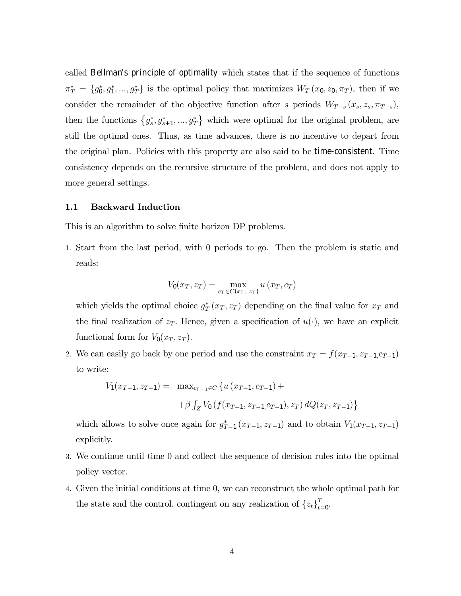called Bellman's principle of optimality which states that if the sequence of functions  $\pi_T^* = \{g_0^*, g_1^*, ..., g_T^*\}$  is the optimal policy that maximizes  $W_T(x_0, z_0, \pi_T)$ , then if we consider the remainder of the objective function after s periods  $W_{T-s}(x_s, z_s, \pi_{T-s})$ , then the functions  $\{g_s^*, g_{s+1}^*, ..., g_T^*\}$  which were optimal for the original problem, are still the optimal ones. Thus, as time advances, there is no incentive to depart from the original plan. Policies with this property are also said to be time-consistent. Time consistency depends on the recursive structure of the problem, and does not apply to more general settings.

### 1.1 Backward Induction

This is an algorithm to solve finite horizon DP problems.

1. Start from the last period, with 0 periods to go. Then the problem is static and reads:

$$
V_0(x_T, z_T) = \max_{c_T \in C(x_T, z_T)} u(x_T, c_T)
$$

which yields the optimal choice  $g_T^*(x_T, z_T)$  depending on the final value for  $x_T$  and the final realization of  $z_T$ . Hence, given a specification of  $u(\cdot)$ , we have an explicit functional form for  $V_0(x_T, z_T)$ .

2. We can easily go back by one period and use the constraint  $x_T = f(x_{T-1}, z_{T-1}, c_{T-1})$ to write:

$$
V_1(x_{T-1}, z_{T-1}) = \max_{c_{T-1} \in C} \{ u(x_{T-1}, c_{T-1}) +
$$
  
+  $\beta \int_Z V_0(f(x_{T-1}, z_{T-1}, c_{T-1}), z_T) dQ(z_T, z_{T-1}) \}$ 

which allows to solve once again for  $g_{T-1}^*(x_{T-1}, z_{T-1})$  and to obtain  $V_1(x_{T-1}, z_{T-1})$ explicitly.

- 3. We continue until time 0 and collect the sequence of decision rules into the optimal policy vector.
- 4. Given the initial conditions at time 0, we can reconstruct the whole optimal path for the state and the control, contingent on any realization of  $\{z_t\}_{t=0}^T$ .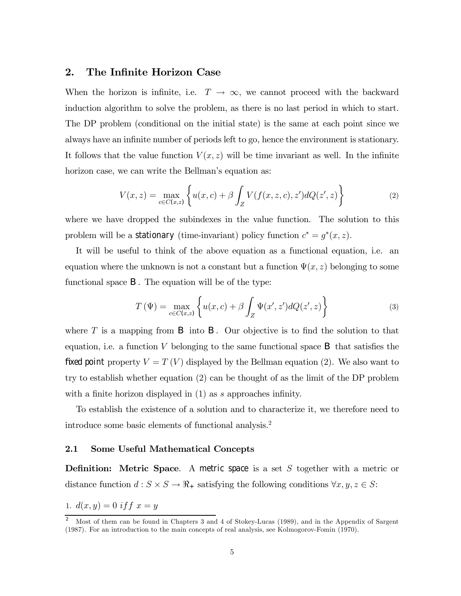# 2. The Infinite Horizon Case

When the horizon is infinite, i.e.  $T \to \infty$ , we cannot proceed with the backward induction algorithm to solve the problem, as there is no last period in which to start. The DP problem (conditional on the initial state) is the same at each point since we always have an infinite number of periods left to go, hence the environment is stationary. It follows that the value function  $V(x, z)$  will be time invariant as well. In the infinite horizon case, we can write the Bellman's equation as:

$$
V(x, z) = \max_{c \in C(x, z)} \left\{ u(x, c) + \beta \int_{Z} V(f(x, z, c), z') dQ(z', z) \right\}
$$
(2)

where we have dropped the subindexes in the value function. The solution to this problem will be a stationary (time-invariant) policy function  $c^* = g^*(x, z)$ .

It will be useful to think of the above equation as a functional equation, i.e. an equation where the unknown is not a constant but a function  $\Psi(x, z)$  belonging to some functional space B. The equation will be of the type:

$$
T(\Psi) = \max_{c \in C(x,z)} \left\{ u(x,c) + \beta \int_Z \Psi(x',z') dQ(z',z) \right\}
$$
(3)

where  $T$  is a mapping from  $B$  into  $B$ . Our objective is to find the solution to that equation, i.e. a function  $V$  belonging to the same functional space  $\bf{B}$  that satisfies the fixed point property  $V = T(V)$  displayed by the Bellman equation (2). We also want to try to establish whether equation (2) can be thought of as the limit of the DP problem with a finite horizon displayed in (1) as s approaches infinity.

To establish the existence of a solution and to characterize it, we therefore need to introduce some basic elements of functional analysis.2

### 2.1 Some Useful Mathematical Concepts

**Definition:** Metric Space. A metric space is a set S together with a metric or distance function  $d : S \times S \to \mathbb{R}_+$  satisfying the following conditions  $\forall x, y, z \in S$ :

1.  $d(x, y) = 0$  if  $f(x, y) = y$ 

<sup>&</sup>lt;sup>2</sup> Most of them can be found in Chapters 3 and 4 of Stokey-Lucas (1989), and in the Appendix of Sargent (1987). For an introduction to the main concepts of real analysis, see Kolmogorov-Fomin (1970).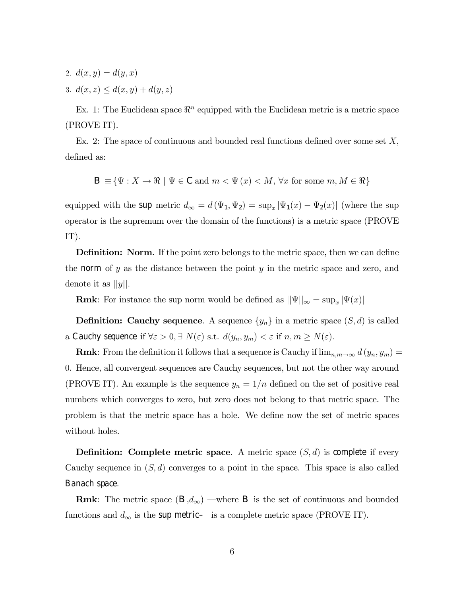- 2.  $d(x, y) = d(y, x)$
- 3.  $d(x, z) \leq d(x, y) + d(y, z)$

Ex. 1: The Euclidean space  $\mathbb{R}^n$  equipped with the Euclidean metric is a metric space (PROVE IT).

Ex. 2: The space of continuous and bounded real functions defined over some set X, defined as:

$$
\mathsf{B} \equiv \{ \Psi : X \to \mathbb{R} \mid \Psi \in \mathsf{C} \text{ and } m < \Psi(x) < M, \forall x \text{ for some } m, M \in \mathbb{R} \}
$$

equipped with the sup metric  $d_{\infty} = d(\Psi_1, \Psi_2) = \sup_x |\Psi_1(x) - \Psi_2(x)|$  (where the sup operator is the supremum over the domain of the functions) is a metric space (PROVE IT).

Definition: Norm. If the point zero belongs to the metric space, then we can define the norm of  $y$  as the distance between the point  $y$  in the metric space and zero, and denote it as  $||y||$ .

**Rmk**: For instance the sup norm would be defined as  $||\Psi||_{\infty} = \sup_x |\Psi(x)|$ 

**Definition:** Cauchy sequence. A sequence  $\{y_n\}$  in a metric space  $(S, d)$  is called a Cauchy sequence if  $\forall \varepsilon > 0, \exists N(\varepsilon) \text{ s.t. } d(y_n, y_m) < \varepsilon \text{ if } n, m \ge N(\varepsilon)$ .

**Rmk**: From the definition it follows that a sequence is Cauchy if  $\lim_{n,m\to\infty} d(y_n, y_m) =$ 0. Hence, all convergent sequences are Cauchy sequences, but not the other way around (PROVE IT). An example is the sequence  $y_n = 1/n$  defined on the set of positive real numbers which converges to zero, but zero does not belong to that metric space. The problem is that the metric space has a hole. We define now the set of metric spaces without holes.

**Definition:** Complete metric space. A metric space  $(S, d)$  is complete if every Cauchy sequence in  $(S, d)$  converges to a point in the space. This space is also called Banach space.

**Rmk**: The metric space  $(\mathsf{B}, d_{\infty})$  —where **B** is the set of continuous and bounded functions and  $d_{\infty}$  is the sup metric– is a complete metric space (PROVE IT).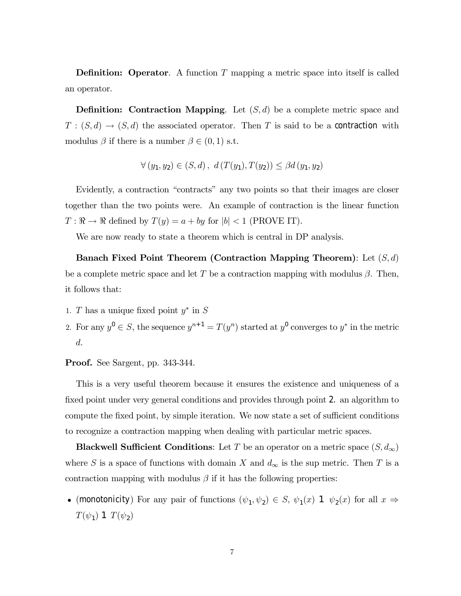**Definition:** Operator. A function T mapping a metric space into itself is called an operator.

**Definition:** Contraction Mapping. Let  $(S, d)$  be a complete metric space and  $T:(S,d)\to (S,d)$  the associated operator. Then T is said to be a contraction with modulus  $\beta$  if there is a number  $\beta \in (0,1)$  s.t.

$$
\forall (y_1, y_2) \in (S, d), d(T(y_1), T(y_2)) \leq \beta d(y_1, y_2)
$$

Evidently, a contraction "contracts" any two points so that their images are closer together than the two points were. An example of contraction is the linear function  $T : \mathbb{R} \to \mathbb{R}$  defined by  $T(y) = a + by$  for  $|b| < 1$  (PROVE IT).

We are now ready to state a theorem which is central in DP analysis.

Banach Fixed Point Theorem (Contraction Mapping Theorem): Let  $(S, d)$ be a complete metric space and let T be a contraction mapping with modulus  $\beta$ . Then, it follows that:

- 1. T has a unique fixed point  $y^*$  in S
- 2. For any  $y^0 \in S$ , the sequence  $y^{n+1} = T(y^n)$  started at  $y^0$  converges to  $y^*$  in the metric d.

Proof. See Sargent, pp. 343-344.

This is a very useful theorem because it ensures the existence and uniqueness of a fixed point under very general conditions and provides through point 2. an algorithm to compute the fixed point, by simple iteration. We now state a set of sufficient conditions to recognize a contraction mapping when dealing with particular metric spaces.

**Blackwell Sufficient Conditions**: Let T be an operator on a metric space  $(S, d_{\infty})$ where S is a space of functions with domain X and  $d_{\infty}$  is the sup metric. Then T is a contraction mapping with modulus  $\beta$  if it has the following properties:

• (monotonicity) For any pair of functions  $(\psi_1, \psi_2) \in S$ ,  $\psi_1(x)$  1  $\psi_2(x)$  for all  $x \Rightarrow$  $T(\psi_1)$  1  $T(\psi_2)$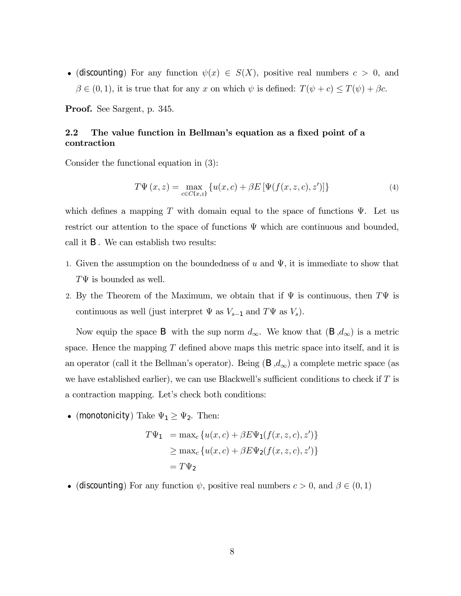• (discounting) For any function  $\psi(x) \in S(X)$ , positive real numbers  $c > 0$ , and  $\beta \in (0, 1)$ , it is true that for any x on which  $\psi$  is defined:  $T(\psi + c) \leq T(\psi) + \beta c$ .

Proof. See Sargent, p. 345.

# 2.2 The value function in Bellman's equation as a fixed point of a contraction

Consider the functional equation in (3):

$$
T\Psi(x,z) = \max_{c \in C(x,z)} \{ u(x,c) + \beta E \left[ \Psi(f(x,z,c),z') \right] \}
$$
 (4)

which defines a mapping T with domain equal to the space of functions  $\Psi$ . Let us restrict our attention to the space of functions  $\Psi$  which are continuous and bounded, call it B. We can establish two results:

- 1. Given the assumption on the boundedness of u and  $\Psi$ , it is immediate to show that  $T\Psi$  is bounded as well.
- 2. By the Theorem of the Maximum, we obtain that if  $\Psi$  is continuous, then  $T\Psi$  is continuous as well (just interpret  $\Psi$  as  $V_{s-1}$  and  $T\Psi$  as  $V_s$ ).

Now equip the space B with the sup norm  $d_{\infty}$ . We know that  $(\mathsf{B}, d_{\infty})$  is a metric space. Hence the mapping  $T$  defined above maps this metric space into itself, and it is an operator (call it the Bellman's operator). Being  $(\mathsf{B}, d_{\infty})$  a complete metric space (as we have established earlier), we can use Blackwell's sufficient conditions to check if  $T$  is a contraction mapping. Let's check both conditions:

• (monotonicity) Take  $\Psi_1 \geq \Psi_2$ . Then:

$$
T\Psi_1 = \max_c \{ u(x, c) + \beta E \Psi_1(f(x, z, c), z') \}
$$
  
\n
$$
\geq \max_c \{ u(x, c) + \beta E \Psi_2(f(x, z, c), z') \}
$$
  
\n
$$
= T\Psi_2
$$

• (discounting) For any function  $\psi$ , positive real numbers  $c > 0$ , and  $\beta \in (0, 1)$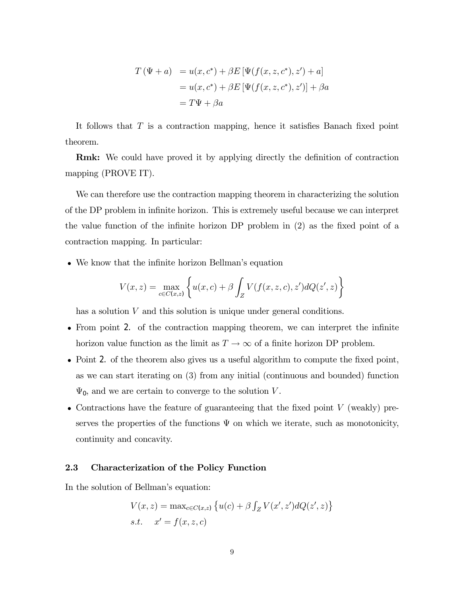$$
T(\Psi + a) = u(x, c^*) + \beta E[\Psi(f(x, z, c^*), z') + a]
$$
  
=  $u(x, c^*) + \beta E[\Psi(f(x, z, c^*), z')] + \beta a$   
=  $T\Psi + \beta a$ 

It follows that  $T$  is a contraction mapping, hence it satisfies Banach fixed point theorem.

Rmk: We could have proved it by applying directly the definition of contraction mapping (PROVE IT).

We can therefore use the contraction mapping theorem in characterizing the solution of the DP problem in infinite horizon. This is extremely useful because we can interpret the value function of the infinite horizon DP problem in (2) as the fixed point of a contraction mapping. In particular:

• We know that the infinite horizon Bellman's equation

$$
V(x,z) = \max_{c \in C(x,z)} \left\{ u(x,c) + \beta \int_Z V(f(x,z,c),z')dQ(z',z) \right\}
$$

has a solution V and this solution is unique under general conditions.

- From point 2. of the contraction mapping theorem, we can interpret the infinite horizon value function as the limit as  $T \to \infty$  of a finite horizon DP problem.
- Point 2. of the theorem also gives us a useful algorithm to compute the fixed point, as we can start iterating on (3) from any initial (continuous and bounded) function  $\Psi_0$ , and we are certain to converge to the solution V.
- Contractions have the feature of guaranteeing that the fixed point  $V$  (weakly) preserves the properties of the functions  $\Psi$  on which we iterate, such as monotonicity, continuity and concavity.

## 2.3 Characterization of the Policy Function

In the solution of Bellman's equation:

$$
V(x, z) = \max_{c \in C(x, z)} \left\{ u(c) + \beta \int_Z V(x', z') dQ(z', z) \right\}
$$
  
s.t.  $x' = f(x, z, c)$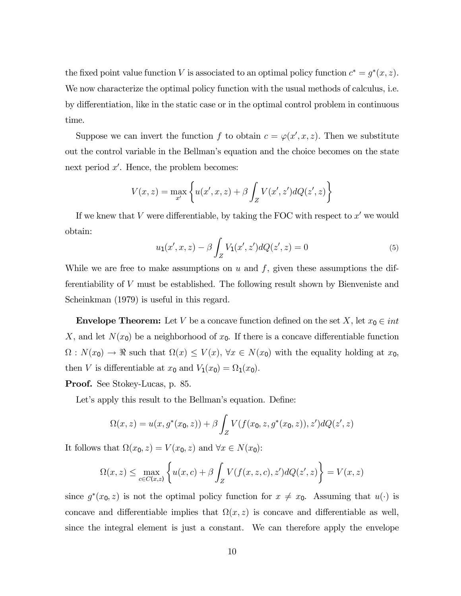the fixed point value function V is associated to an optimal policy function  $c^* = g^*(x, z)$ . We now characterize the optimal policy function with the usual methods of calculus, i.e. by differentiation, like in the static case or in the optimal control problem in continuous time.

Suppose we can invert the function f to obtain  $c = \varphi(x', x, z)$ . Then we substitute out the control variable in the Bellman's equation and the choice becomes on the state next period  $x'$ . Hence, the problem becomes:

$$
V(x, z) = \max_{x'} \left\{ u(x', x, z) + \beta \int_Z V(x', z') dQ(z', z) \right\}
$$

If we knew that  $V$  were differentiable, by taking the FOC with respect to  $x'$  we would obtain:

$$
u_1(x',x,z) - \beta \int_Z V_1(x',z')dQ(z',z) = 0
$$
\n(5)

While we are free to make assumptions on  $u$  and  $f$ , given these assumptions the differentiability of V must be established. The following result shown by Bienveniste and Scheinkman (1979) is useful in this regard.

**Envelope Theorem:** Let V be a concave function defined on the set X, let  $x_0 \in int$ X, and let  $N(x_0)$  be a neighborhood of  $x_0$ . If there is a concave differentiable function  $\Omega: N(x_0) \to \mathbb{R}$  such that  $\Omega(x) \leq V(x)$ ,  $\forall x \in N(x_0)$  with the equality holding at  $x_0$ , then V is differentiable at  $x_0$  and  $V_1(x_0) = \Omega_1(x_0)$ .

Proof. See Stokey-Lucas, p. 85.

Let's apply this result to the Bellman's equation. Define:

$$
\Omega(x, z) = u(x, g^*(x_0, z)) + \beta \int_Z V(f(x_0, z, g^*(x_0, z)), z') dQ(z', z)
$$

It follows that  $\Omega(x_0, z) = V(x_0, z)$  and  $\forall x \in N(x_0)$ :

$$
\Omega(x, z) \le \max_{c \in C(x, z)} \left\{ u(x, c) + \beta \int_Z V(f(x, z, c), z') dQ(z', z) \right\} = V(x, z)
$$

since  $g^*(x_0, z)$  is not the optimal policy function for  $x \neq x_0$ . Assuming that  $u(\cdot)$  is concave and differentiable implies that  $\Omega(x, z)$  is concave and differentiable as well, since the integral element is just a constant. We can therefore apply the envelope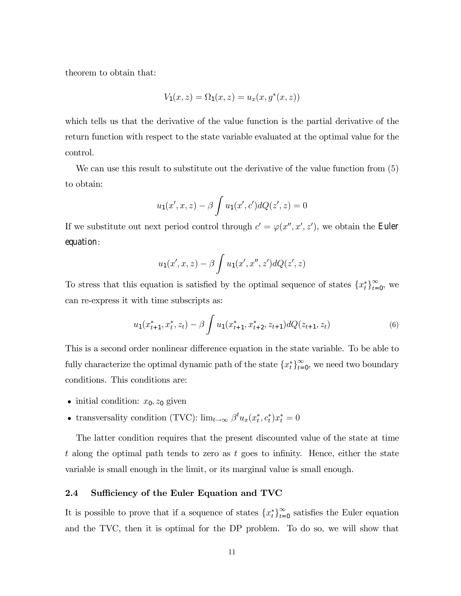theorem to obtain that:

$$
V_1(x, z) = \Omega_1(x, z) = u_x(x, g^*(x, z))
$$

which tells us that the derivative of the value function is the partial derivative of the return function with respect to the state variable evaluated at the optimal value for the control.

We can use this result to substitute out the derivative of the value function from  $(5)$ to obtain:

$$
u_1(x', x, z) - \beta \int u_1(x', c') dQ(z', z) = 0
$$

If we substitute out next period control through  $c' = \varphi(x'', x', z')$ , we obtain the Euler equation:

$$
u_1(x',x,z) - \beta \int u_1(x',x'',z')dQ(z',z)
$$

To stress that this equation is satisfied by the optimal sequence of states  $\{x_t^*\}_{t=0}^\infty$ , we can re-express it with time subscripts as:

$$
u_1(x_{t+1}^*, x_t^*, z_t) - \beta \int u_1(x_{t+1}^*, x_{t+2}^*, z_{t+1}) dQ(z_{t+1}, z_t)
$$
 (6)

This is a second order nonlinear difference equation in the state variable. To be able to fully characterize the optimal dynamic path of the state  ${x_t^*}_{t=0}^{\infty}$ , we need two boundary conditions. This conditions are:

- initial condition:  $x_0, z_0$  given
- transversality condition (TVC):  $\lim_{t\to\infty} \beta^t u_x(x_t^*, c_t^*) x_t^* = 0$

The latter condition requires that the present discounted value of the state at time t along the optimal path tends to zero as t goes to infinity. Hence, either the state variable is small enough in the limit, or its marginal value is small enough.

### 2.4 Sufficiency of the Euler Equation and TVC

It is possible to prove that if a sequence of states  $\{x_t^*\}_{t=0}^\infty$  satisfies the Euler equation and the TVC, then it is optimal for the DP problem. To do so, we will show that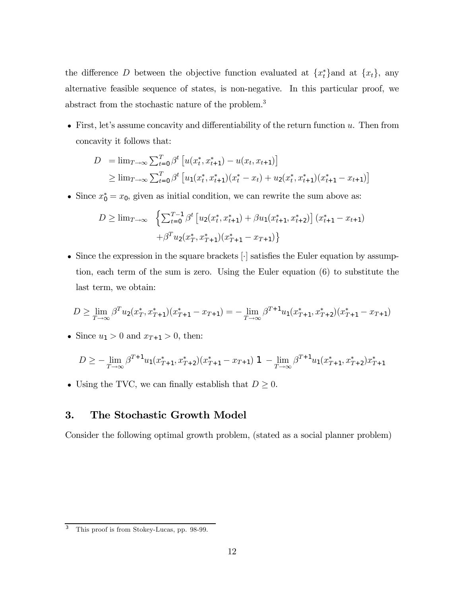the difference D between the objective function evaluated at  $\{x_t^*\}$  and at  $\{x_t\}$ , any alternative feasible sequence of states, is non-negative. In this particular proof, we abstract from the stochastic nature of the problem.3

• First, let's assume concavity and differentiability of the return function  $u$ . Then from concavity it follows that:

$$
D = \lim_{T \to \infty} \sum_{t=0}^{T} \beta^t \left[ u(x_t^*, x_{t+1}^*) - u(x_t, x_{t+1}) \right]
$$
  
\n
$$
\geq \lim_{T \to \infty} \sum_{t=0}^{T} \beta^t \left[ u_1(x_t^*, x_{t+1}^*) (x_t^* - x_t) + u_2(x_t^*, x_{t+1}^*) (x_{t+1}^* - x_{t+1}) \right]
$$

• Since  $x_0^* = x_0$ , given as initial condition, we can rewrite the sum above as:

$$
D \geq \lim_{T \to \infty} \left\{ \sum_{t=0}^{T-1} \beta^t \left[ u_2(x_t^*, x_{t+1}^*) + \beta u_1(x_{t+1}^*, x_{t+2}^*) \right] (x_{t+1}^* - x_{t+1}) + \beta^T u_2(x_T^*, x_{T+1}^*) (x_{T+1}^* - x_{T+1}) \right\}
$$

• Since the expression in the square brackets  $\lceil \cdot \rceil$  satisfies the Euler equation by assumption, each term of the sum is zero. Using the Euler equation (6) to substitute the last term, we obtain:

$$
D \ge \lim_{T \to \infty} \beta^T u_2(x_T^*, x_{T+1}^*) (x_{T+1}^* - x_{T+1}) = -\lim_{T \to \infty} \beta^{T+1} u_1(x_{T+1}^*, x_{T+2}^*) (x_{T+1}^* - x_{T+1})
$$

• Since  $u_1 > 0$  and  $x_{T+1} > 0$ , then:

$$
D \geq -\lim_{T \to \infty} \beta^{T+1} u_1(x_{T+1}^*, x_{T+2}^*) (x_{T+1}^* - x_{T+1}) \mathbf{1} - \lim_{T \to \infty} \beta^{T+1} u_1(x_{T+1}^*, x_{T+2}^*) x_{T+1}^*
$$

• Using the TVC, we can finally establish that  $D \geq 0$ .

# 3. The Stochastic Growth Model

Consider the following optimal growth problem, (stated as a social planner problem)

This proof is from Stokey-Lucas, pp. 98-99.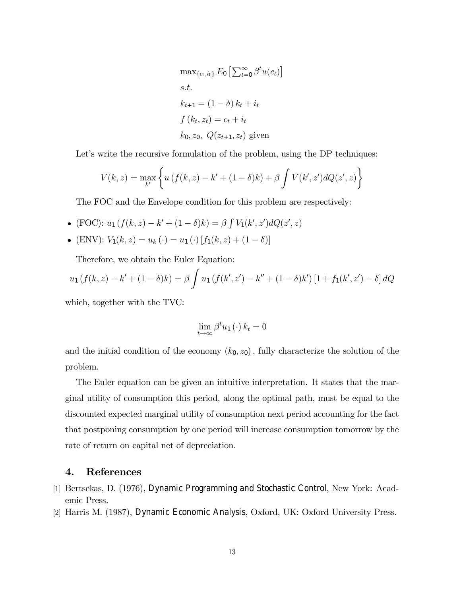$$
\max_{\{c_t, i_t\}} E_0 \left[ \sum_{t=0}^{\infty} \beta^t u(c_t) \right]
$$
  
s.t.  

$$
k_{t+1} = (1 - \delta) k_t + i_t
$$
  

$$
f(k_t, z_t) = c_t + i_t
$$
  

$$
k_0, z_0, Q(z_{t+1}, z_t)
$$
 given

Let's write the recursive formulation of the problem, using the DP techniques:

$$
V(k, z) = \max_{k'} \left\{ u \left( f(k, z) - k' + (1 - \delta)k \right) + \beta \int V(k', z') dQ(z', z) \right\}
$$

The FOC and the Envelope condition for this problem are respectively:

• (FOC):  $u_1(f(k, z) - k' + (1 - \delta)k) = \beta \int V_1(k', z') dQ(z', z)$ 

• (ENV): 
$$
V_1(k, z) = u_k(\cdot) = u_1(\cdot) [f_1(k, z) + (1 - \delta)]
$$

Therefore, we obtain the Euler Equation:

$$
u_1(f(k, z) - k' + (1 - \delta)k) = \beta \int u_1(f(k', z') - k'' + (1 - \delta)k') [1 + f_1(k', z') - \delta] dQ
$$

which, together with the TVC:

$$
\lim_{t \to \infty} \beta^t u_1(\cdot) \, k_t = 0
$$

and the initial condition of the economy  $(k_0, z_0)$ , fully characterize the solution of the problem.

The Euler equation can be given an intuitive interpretation. It states that the marginal utility of consumption this period, along the optimal path, must be equal to the discounted expected marginal utility of consumption next period accounting for the fact that postponing consumption by one period will increase consumption tomorrow by the rate of return on capital net of depreciation.

## 4. References

- [1] Bertsekas, D. (1976), Dynamic Programming and Stochastic Control, New York: Academic Press.
- [2] Harris M. (1987), Dynamic Economic Analysis, Oxford, UK: Oxford University Press.